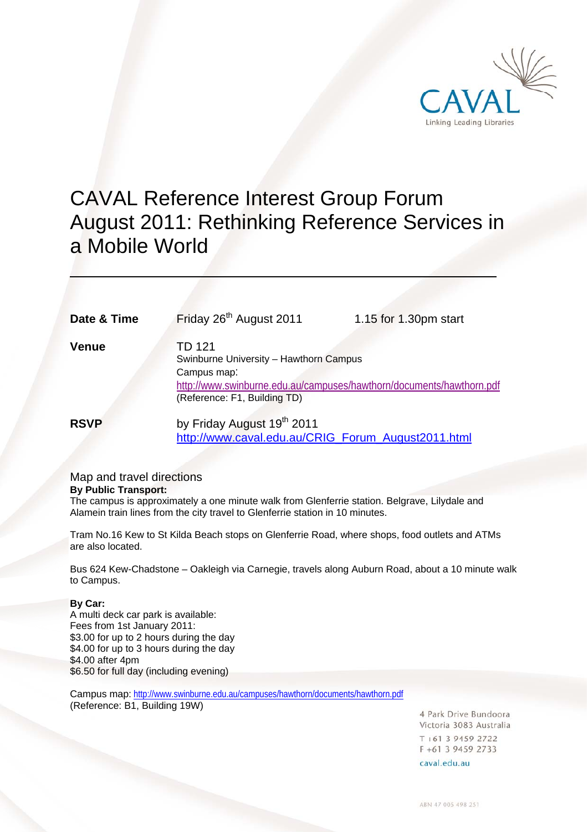

# CAVAL Reference Interest Group Forum August 2011: Rethinking Reference Services in a Mobile World

| Date & Time  | Friday 26 <sup>th</sup> August 2011                                                                                                                                     | 1.15 for 1.30pm start |
|--------------|-------------------------------------------------------------------------------------------------------------------------------------------------------------------------|-----------------------|
| <b>Venue</b> | TD 121<br>Swinburne University - Hawthorn Campus<br>Campus map:<br>http://www.swinburne.edu.au/campuses/hawthorn/documents/hawthorn.pdf<br>(Reference: F1, Building TD) |                       |
| <b>RSVP</b>  | by Friday August 19 <sup>th</sup> 2011<br>http://www.caval.edu.au/CRIG_Forum_August2011.html                                                                            |                       |

# Map and travel directions **By Public Transport:**

The campus is approximately a one minute walk from Glenferrie station. Belgrave, Lilydale and Alamein train lines from the city travel to Glenferrie station in 10 minutes.

Tram No.16 Kew to St Kilda Beach stops on Glenferrie Road, where shops, food outlets and ATMs are also located.

Bus 624 Kew-Chadstone – Oakleigh via Carnegie, travels along Auburn Road, about a 10 minute walk to Campus.

#### **By Car:**

 $\overline{a}$ 

A multi deck car park is available: Fees from 1st January 2011: \$3.00 for up to 2 hours during the day \$4.00 for up to 3 hours during the day \$4.00 after 4pm \$6.50 for full day (including evening)

Campus map: http://www.swinburne.edu.au/campuses/hawthorn/documents/hawthorn.pdf (Reference: B1, Building 19W)

4 Park Drive Bundoora Victoria 3083 Australia  $T + 61$  3 9459 2722 F +61 3 9459 2733

caval.edu.au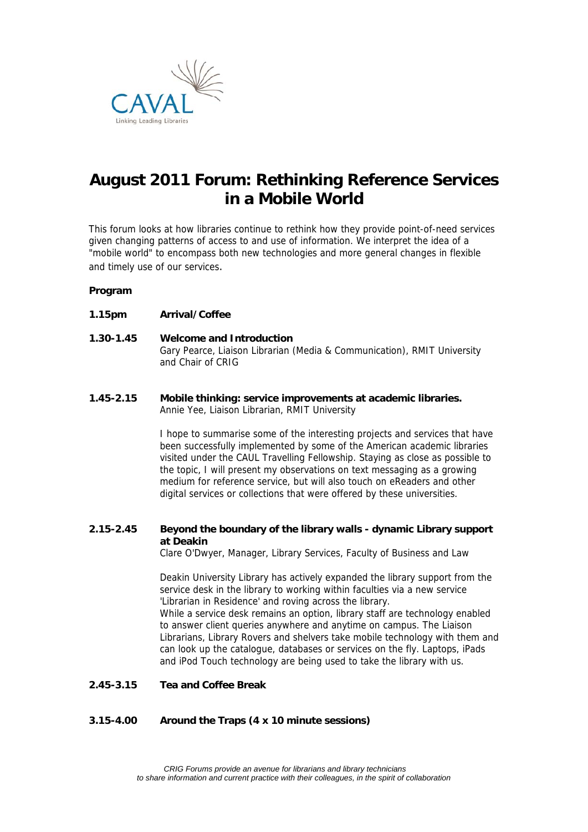

# **August 2011 Forum: Rethinking Reference Services in a Mobile World**

This forum looks at how libraries continue to rethink how they provide point-of-need services given changing patterns of access to and use of information. We interpret the idea of a "mobile world" to encompass both new technologies and more general changes in flexible and timely use of our services.

# **Program**

- **1.15pm Arrival/Coffee**
- **1.30-1.45 Welcome and Introduction**  Gary Pearce, Liaison Librarian (Media & Communication), RMIT University and Chair of CRIG
- **1.45-2.15 Mobile thinking: service improvements at academic libraries.**  Annie Yee, Liaison Librarian, RMIT University

I hope to summarise some of the interesting projects and services that have been successfully implemented by some of the American academic libraries visited under the CAUL Travelling Fellowship. Staying as close as possible to the topic, I will present my observations on text messaging as a growing medium for reference service, but will also touch on eReaders and other digital services or collections that were offered by these universities.

# **2.15-2.45 Beyond the boundary of the library walls - dynamic Library support at Deakin**

Clare O'Dwyer, Manager, Library Services, Faculty of Business and Law

Deakin University Library has actively expanded the library support from the service desk in the library to working within faculties via a new service 'Librarian in Residence' and roving across the library. While a service desk remains an option, library staff are technology enabled to answer client queries anywhere and anytime on campus. The Liaison Librarians, Library Rovers and shelvers take mobile technology with them and can look up the catalogue, databases or services on the fly. Laptops, iPads and iPod Touch technology are being used to take the library with us.

**2.45-3.15 Tea and Coffee Break** 

# **3.15-4.00 Around the Traps (4 x 10 minute sessions)**